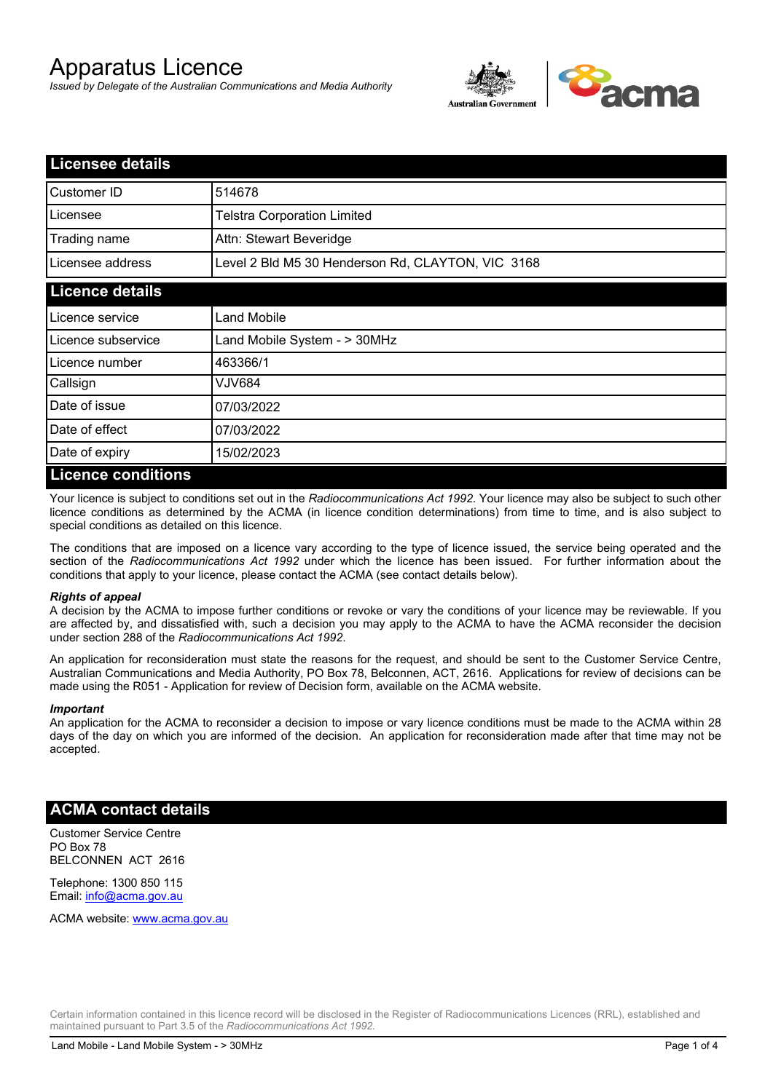# Apparatus Licence

*Issued by Delegate of the Australian Communications and Media Authority*



| <b>Licensee details</b> |                                                   |  |  |  |
|-------------------------|---------------------------------------------------|--|--|--|
| Customer ID             | 514678                                            |  |  |  |
| Licensee                | <b>Telstra Corporation Limited</b>                |  |  |  |
| Trading name            | Attn: Stewart Beveridge                           |  |  |  |
| Licensee address        | Level 2 Bld M5 30 Henderson Rd, CLAYTON, VIC 3168 |  |  |  |
| <b>Licence details</b>  |                                                   |  |  |  |
| Licence service         | <b>Land Mobile</b>                                |  |  |  |
| Licence subservice      | Land Mobile System - > 30MHz                      |  |  |  |
| Licence number          | 463366/1                                          |  |  |  |
| Callsign                | VJV684                                            |  |  |  |
| Date of issue           | 07/03/2022                                        |  |  |  |
| Date of effect          | 07/03/2022                                        |  |  |  |
| Date of expiry          | 15/02/2023                                        |  |  |  |
| Licance conditions      |                                                   |  |  |  |

#### **Licence conditions**

Your licence is subject to conditions set out in the *Radiocommunications Act 1992*. Your licence may also be subject to such other licence conditions as determined by the ACMA (in licence condition determinations) from time to time, and is also subject to special conditions as detailed on this licence.

The conditions that are imposed on a licence vary according to the type of licence issued, the service being operated and the section of the *Radiocommunications Act 1992* under which the licence has been issued. For further information about the conditions that apply to your licence, please contact the ACMA (see contact details below).

#### *Rights of appeal*

A decision by the ACMA to impose further conditions or revoke or vary the conditions of your licence may be reviewable. If you are affected by, and dissatisfied with, such a decision you may apply to the ACMA to have the ACMA reconsider the decision under section 288 of the *Radiocommunications Act 1992*.

An application for reconsideration must state the reasons for the request, and should be sent to the Customer Service Centre, Australian Communications and Media Authority, PO Box 78, Belconnen, ACT, 2616. Applications for review of decisions can be made using the R051 - Application for review of Decision form, available on the ACMA website.

#### *Important*

An application for the ACMA to reconsider a decision to impose or vary licence conditions must be made to the ACMA within 28 days of the day on which you are informed of the decision. An application for reconsideration made after that time may not be accepted.

#### **ACMA contact details**

Customer Service Centre PO Box 78 BELCONNEN ACT 2616

Telephone: 1300 850 115 Email: info@acma.gov.au

ACMA website: www.acma.gov.au

Certain information contained in this licence record will be disclosed in the Register of Radiocommunications Licences (RRL), established and maintained pursuant to Part 3.5 of the *Radiocommunications Act 1992.*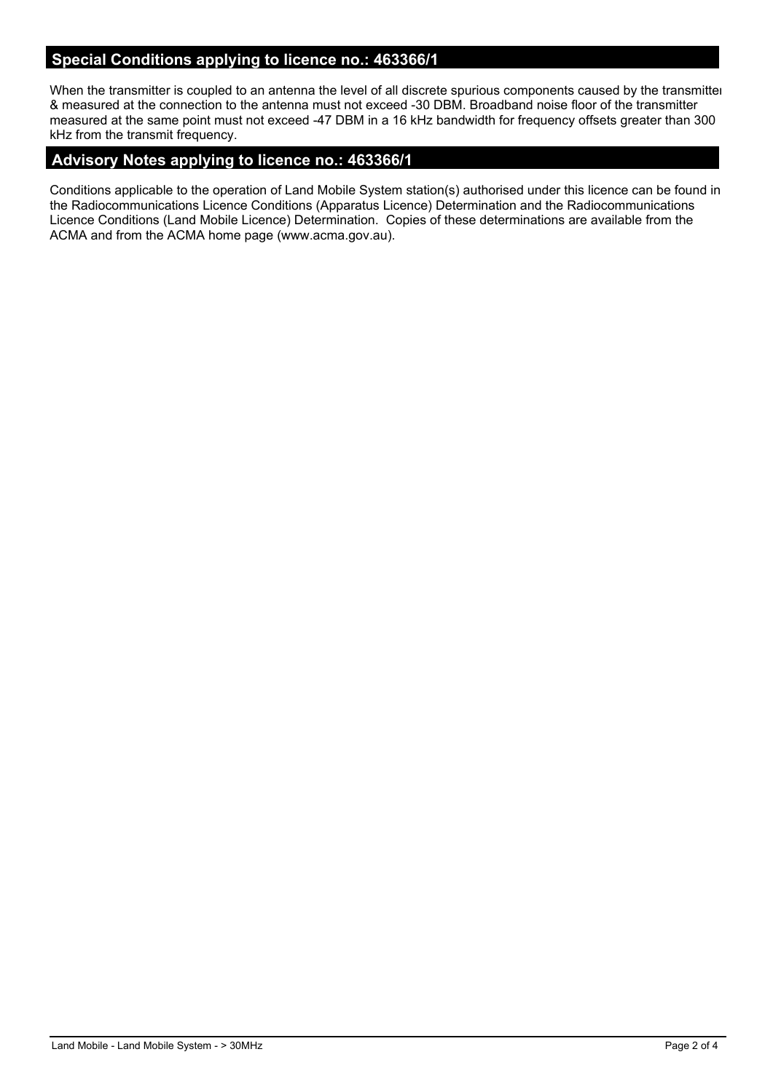# **Special Conditions applying to licence no.: 463366/1**

When the transmitter is coupled to an antenna the level of all discrete spurious components caused by the transmitter & measured at the connection to the antenna must not exceed -30 DBM. Broadband noise floor of the transmitter measured at the same point must not exceed -47 DBM in a 16 kHz bandwidth for frequency offsets greater than 300 kHz from the transmit frequency.

# **Advisory Notes applying to licence no.: 463366/1**

Conditions applicable to the operation of Land Mobile System station(s) authorised under this licence can be found in the Radiocommunications Licence Conditions (Apparatus Licence) Determination and the Radiocommunications Licence Conditions (Land Mobile Licence) Determination. Copies of these determinations are available from the ACMA and from the ACMA home page (www.acma.gov.au).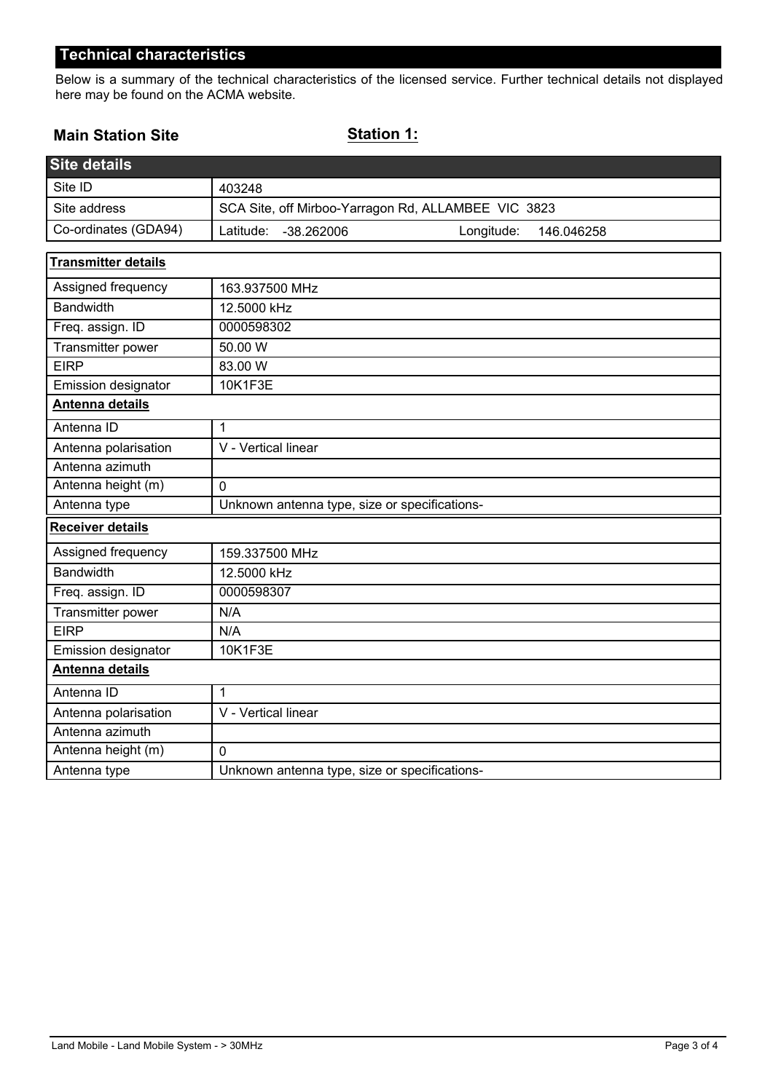# **Technical characteristics**

Below is a summary of the technical characteristics of the licensed service. Further technical details not displayed here may be found on the ACMA website.

## **Main Station Site**

## **Station 1:**

| <b>Site details</b>        |                                                     |  |  |  |  |
|----------------------------|-----------------------------------------------------|--|--|--|--|
| Site ID                    | 403248                                              |  |  |  |  |
| Site address               | SCA Site, off Mirboo-Yarragon Rd, ALLAMBEE VIC 3823 |  |  |  |  |
| Co-ordinates (GDA94)       | Latitude:<br>Longitude:<br>-38.262006<br>146.046258 |  |  |  |  |
| <b>Transmitter details</b> |                                                     |  |  |  |  |
| Assigned frequency         | 163.937500 MHz                                      |  |  |  |  |
| <b>Bandwidth</b>           | 12.5000 kHz                                         |  |  |  |  |
| Freq. assign. ID           | 0000598302                                          |  |  |  |  |
| Transmitter power          | 50.00 W                                             |  |  |  |  |
| <b>EIRP</b>                | 83.00 W                                             |  |  |  |  |
| Emission designator        | 10K1F3E                                             |  |  |  |  |
| Antenna details            |                                                     |  |  |  |  |
| Antenna ID                 | $\mathbf 1$                                         |  |  |  |  |
| Antenna polarisation       | V - Vertical linear                                 |  |  |  |  |
| Antenna azimuth            |                                                     |  |  |  |  |
| Antenna height (m)         | $\Omega$                                            |  |  |  |  |
| Antenna type               | Unknown antenna type, size or specifications-       |  |  |  |  |
| <b>Receiver details</b>    |                                                     |  |  |  |  |
| Assigned frequency         | 159.337500 MHz                                      |  |  |  |  |
| <b>Bandwidth</b>           | 12.5000 kHz                                         |  |  |  |  |
| Freq. assign. ID           | 0000598307                                          |  |  |  |  |
| Transmitter power          | N/A                                                 |  |  |  |  |
| <b>EIRP</b>                | N/A                                                 |  |  |  |  |
| Emission designator        | 10K1F3E                                             |  |  |  |  |
| Antenna details            |                                                     |  |  |  |  |
| Antenna ID                 | $\mathbf{1}$                                        |  |  |  |  |
| Antenna polarisation       | V - Vertical linear                                 |  |  |  |  |
| Antenna azimuth            |                                                     |  |  |  |  |
| Antenna height (m)         | $\mathbf 0$                                         |  |  |  |  |
| Antenna type               | Unknown antenna type, size or specifications-       |  |  |  |  |